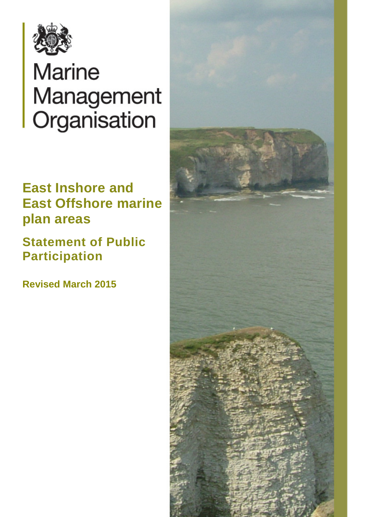

# **Marine** Management Organisation

# **East Inshore and East Offshore marine plan areas**

 **Statement of Public Participation** 

 **Revised March 2015** 

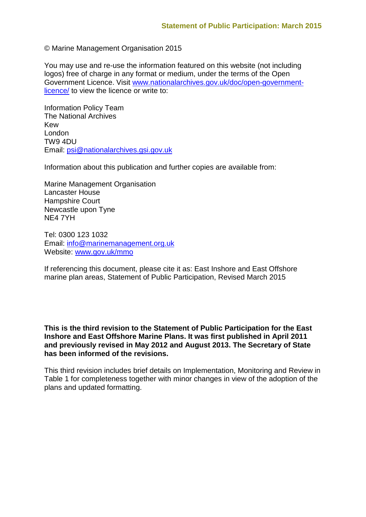© Marine Management Organisation 2015

You may use and re-use the information featured on this website (not including logos) free of charge in any format or medium, under the terms of the Open Government Licence. Visit [www.nationalarchives.gov.uk/doc/open-government](http://www.nationalarchives.gov.uk/doc/open-government-licence/)[licence/](http://www.nationalarchives.gov.uk/doc/open-government-licence/) to view the licence or write to:

Information Policy Team The National Archives Kew London TW9 4DU Email: [psi@nationalarchives.gsi.gov.uk](mailto:psi@nationalarchives.gsi.gov.uk) 

Information about this publication and further copies are available from:

Marine Management Organisation Lancaster House Hampshire Court Newcastle upon Tyne NE4 7YH

Website: www.gov.uk/mmo Tel: 0300 123 1032 Email: [info@marinemanagement.org.uk](mailto:info@marinemanagement.org.uk) 

Website: <u>www.gov.uk/mmo</u><br>If referencing this document, please cite it as: East Inshore and East Offshore marine plan areas, Statement of Public Participation, Revised March 2015

 **Inshore and East Offshore Marine Plans. It was first published in April 2011 This is the third revision to the Statement of Public Participation for the East and previously revised in May 2012 and August 2013. The Secretary of State has been informed of the revisions.** 

 Table 1 for completeness together with minor changes in view of the adoption of the This third revision includes brief details on Implementation, Monitoring and Review in plans and updated formatting.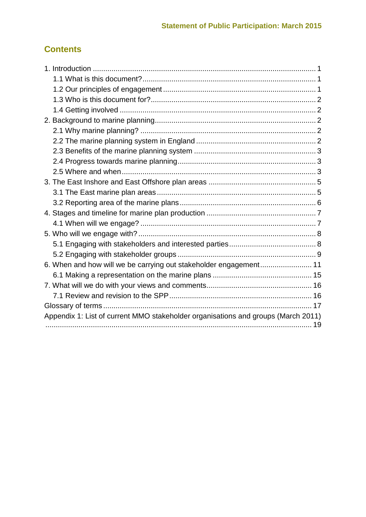# **Contents**

| 6. When and how will we be carrying out stakeholder engagement 11                 |  |
|-----------------------------------------------------------------------------------|--|
|                                                                                   |  |
|                                                                                   |  |
|                                                                                   |  |
|                                                                                   |  |
| Appendix 1: List of current MMO stakeholder organisations and groups (March 2011) |  |
|                                                                                   |  |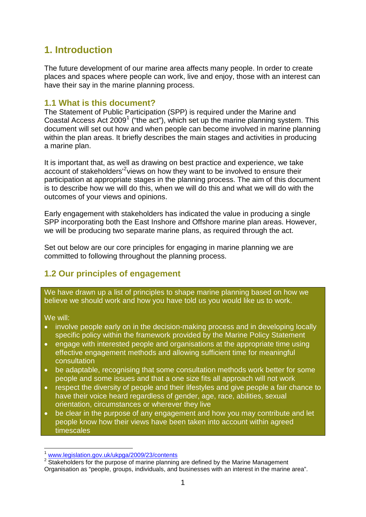# <span id="page-3-0"></span>**1. Introduction**

The future development of our marine area affects many people. In order to create places and spaces where people can work, live and enjoy, those with an interest can have their say in the marine planning process.

# <span id="page-3-1"></span>**1.1 What is this document?**

Coastal Access Act 2009<sup>[1](#page-3-3)</sup> ("the act"), which set up the marine planning system. This The Statement of Public Participation (SPP) is required under the Marine and document will set out how and when people can become involved in marine planning within the plan areas. It briefly describes the main stages and activities in producing a marine plan.

 participation at appropriate stages in the planning process. The aim of this document It is important that, as well as drawing on best practice and experience, we take account of stakeholders<sup>1[2](#page-3-4)</sup> views on how they want to be involved to ensure their is to describe how we will do this, when we will do this and what we will do with the outcomes of your views and opinions.

 SPP incorporating both the East Inshore and Offshore marine plan areas. However, Early engagement with stakeholders has indicated the value in producing a single we will be producing two separate marine plans, as required through the act.

Set out below are our core principles for engaging in marine planning we are committed to following throughout the planning process.

# <span id="page-3-2"></span>**1.2 Our principles of engagement**

We have drawn up a list of principles to shape marine planning based on how we believe we should work and how you have told us you would like us to work.

We will:

- involve people early on in the decision-making process and in developing locally specific policy within the framework provided by the Marine Policy Statement
- effective engagement methods and allowing sufficient time for meaningful • engage with interested people and organisations at the appropriate time using consultation
- be adaptable, recognising that some consultation methods work better for some people and some issues and that a one size fits all approach will not work
- have their voice heard regardless of gender, age, race, abilities, sexual • respect the diversity of people and their lifestyles and give people a fair chance to orientation, circumstances or wherever they live
- be clear in the purpose of any engagement and how you may contribute and let people know how their views have been taken into account within agreed timescales

 $\overline{a}$ www.legislation.gov.uk/ukpga/2009/23/contents

<span id="page-3-4"></span><span id="page-3-3"></span> Organisation as "people, groups, individuals, and businesses with an interest in the marine area". <sup>2</sup> Stakeholders for the purpose of marine planning are defined by the Marine Management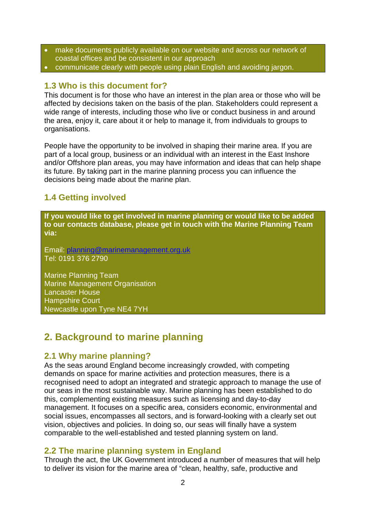- make documents publicly available on our website and across our network of coastal offices and be consistent in our approach
- communicate clearly with people using plain English and avoiding jargon.

## <span id="page-4-0"></span>**1.3 Who is this document for?**

 the area, enjoy it, care about it or help to manage it, from individuals to groups to This document is for those who have an interest in the plan area or those who will be affected by decisions taken on the basis of the plan. Stakeholders could represent a wide range of interests, including those who live or conduct business in and around organisations.

 part of a local group, business or an individual with an interest in the East Inshore decisions being made about the marine plan. People have the opportunity to be involved in shaping their marine area. If you are and/or Offshore plan areas, you may have information and ideas that can help shape its future. By taking part in the marine planning process you can influence the

# <span id="page-4-1"></span>**1.4 Getting involved**

**If you would like to get involved in marine planning or would like to be added to our contacts database, please get in touch with the Marine Planning Team via:** 

Email: <u>planning@marinemanagement.org.uk</u><br>Tel: 0191 376 2790

 Newcastle upon Tyne NE4 7YH Marine Planning Team Marine Management Organisation Lancaster House Hampshire Court

# <span id="page-4-2"></span>**2. Background to marine planning**

# <span id="page-4-3"></span>**2.1 Why marine planning?**

As the seas around England become increasingly crowded, with competing demands on space for marine activities and protection measures, there is a recognised need to adopt an integrated and strategic approach to manage the use of our seas in the most sustainable way. Marine planning has been established to do this, complementing existing measures such as licensing and day-to-day management. It focuses on a specific area, considers economic, environmental and social issues, encompasses all sectors, and is forward-looking with a clearly set out vision, objectives and policies. In doing so, our seas will finally have a system comparable to the well-established and tested planning system on land.

# <span id="page-4-4"></span>**2.2 The marine planning system in England**

Through the act, the UK Government introduced a number of measures that will help to deliver its vision for the marine area of "clean, healthy, safe, productive and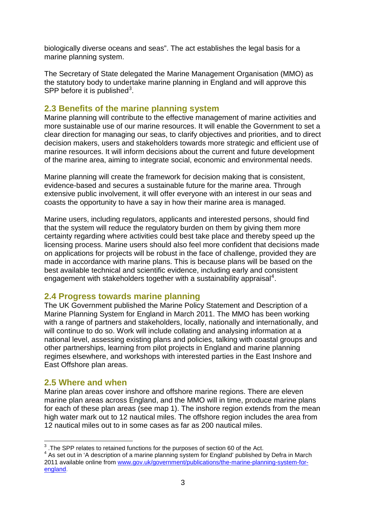biologically diverse oceans and seas". The act establishes the legal basis for a marine planning system.

The Secretary of State delegated the Marine Management Organisation (MMO) as the statutory body to undertake marine planning in England and will approve this SPP before it is published $3$ .

## <span id="page-5-0"></span>**2.3 Benefits of the marine planning system**

 more sustainable use of our marine resources. It will enable the Government to set a clear direction for managing our seas, to clarify objectives and priorities, and to direct decision makers, users and stakeholders towards more strategic and efficient use of marine resources. It will inform decisions about the current and future development of the marine area, aiming to integrate social, economic and environmental needs. Marine planning will contribute to the effective management of marine activities and

Marine planning will create the framework for decision making that is consistent, evidence-based and secures a sustainable future for the marine area. Through extensive public involvement, it will offer everyone with an interest in our seas and coasts the opportunity to have a say in how their marine area is managed.

 that the system will reduce the regulatory burden on them by giving them more Marine users, including regulators, applicants and interested persons, should find certainty regarding where activities could best take place and thereby speed up the licensing process. Marine users should also feel more confident that decisions made on applications for projects will be robust in the face of challenge, provided they are made in accordance with marine plans. This is because plans will be based on the best available technical and scientific evidence, including early and consistent engagement with stakeholders together with a sustainability appraisal<sup>[4](#page-5-4)</sup>.

# <span id="page-5-1"></span>**2.4 Progress towards marine planning**

The UK Government published the Marine Policy Statement and Description of a Marine Planning System for England in March 2011. The MMO has been working with a range of partners and stakeholders, locally, nationally and internationally, and will continue to do so. Work will include collating and analysing information at a national level, assessing existing plans and policies, talking with coastal groups and other partnerships, learning from pilot projects in England and marine planning regimes elsewhere, and workshops with interested parties in the East Inshore and East Offshore plan areas.

### <span id="page-5-2"></span>**2.5 Where and when**

 12 nautical miles out to in some cases as far as 200 nautical miles. Marine plan areas cover inshore and offshore marine regions. There are eleven marine plan areas across England, and the MMO will in time, produce marine plans for each of these plan areas (see map 1). The inshore region extends from the mean high water mark out to 12 nautical miles. The offshore region includes the area from

 $\overline{a}$  $3$ . The SPP relates to retained functions for the purposes of section 60 of the Act.

<span id="page-5-4"></span><span id="page-5-3"></span> $^3$  .The SPP relates to retained functions for the purposes of section 60 of the Act.<br><sup>4</sup> As set out in 'A description of a marine planning system for England' published by Defra in March 2011 available online from [www.gov.uk/government/publications/the-marine-planning-system-for](http://www.gov.uk/government/publications/the-marine-planning-system-for-england)[england.](http://www.gov.uk/government/publications/the-marine-planning-system-for-england)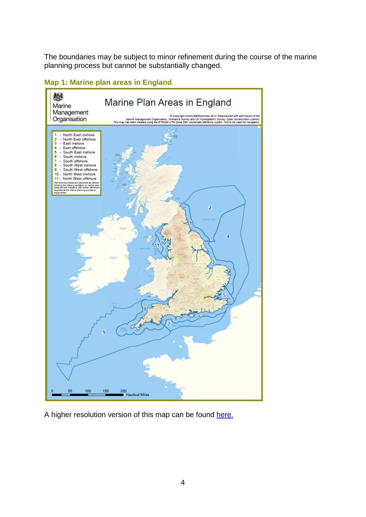The boundaries may be subject to minor refinement during the course of the marine planning process but cannot be substantially changed.

## **Map 1: Marine plan areas in England**



<span id="page-6-0"></span>A higher resolution version of this map can be found [here.](https://www.gov.uk/government/uploads/system/uploads/attachment_data/file/325688/marine_plan_areas.pdf)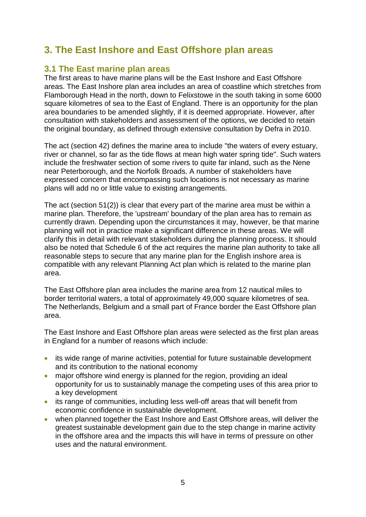# **3. The East Inshore and East Offshore plan areas**

# <span id="page-7-0"></span>**3.1 The East marine plan areas**

 areas. The East Inshore plan area includes an area of coastline which stretches from square kilometres of sea to the East of England. There is an opportunity for the plan The first areas to have marine plans will be the East Inshore and East Offshore Flamborough Head in the north, down to Felixstowe in the south taking in some 6000 area boundaries to be amended slightly, if it is deemed appropriate. However, after consultation with stakeholders and assessment of the options, we decided to retain the original boundary, as defined through extensive consultation by Defra in 2010.

 include the freshwater section of some rivers to quite far inland, such as the Nene near Peterborough, and the Norfolk Broads. A number of stakeholders have The act (section 42) defines the marine area to include "the waters of every estuary, river or channel, so far as the tide flows at mean high water spring tide". Such waters expressed concern that encompassing such locations is not necessary as marine plans will add no or little value to existing arrangements.

 planning will not in practice make a significant difference in these areas. We will The act (section 51(2)) is clear that every part of the marine area must be within a marine plan. Therefore, the 'upstream' boundary of the plan area has to remain as currently drawn. Depending upon the circumstances it may, however, be that marine clarify this in detail with relevant stakeholders during the planning process. It should also be noted that Schedule 6 of the act requires the marine plan authority to take all reasonable steps to secure that any marine plan for the English inshore area is compatible with any relevant Planning Act plan which is related to the marine plan area.

The East Offshore plan area includes the marine area from 12 nautical miles to border territorial waters, a total of approximately 49,000 square kilometres of sea. The Netherlands, Belgium and a small part of France border the East Offshore plan area.

The East Inshore and East Offshore plan areas were selected as the first plan areas in England for a number of reasons which include:

- its wide range of marine activities, potential for future sustainable development and its contribution to the national economy
- opportunity for us to sustainably manage the competing uses of this area prior to • major offshore wind energy is planned for the region, providing an ideal a key development
- its range of communities, including less well-off areas that will benefit from economic confidence in sustainable development.
- in the offshore area and the impacts this will have in terms of pressure on other uses and the natural environment.<br>
5 • when planned together the East Inshore and East Offshore areas, will deliver the greatest sustainable development gain due to the step change in marine activity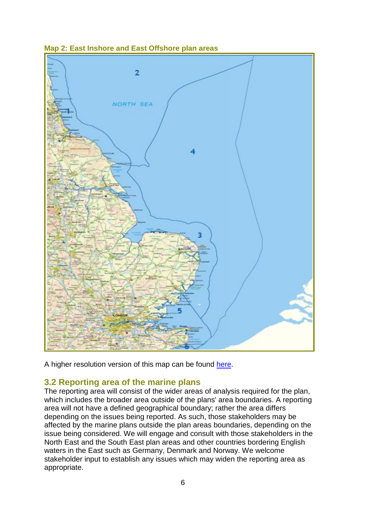

## **Map 2: East Inshore and East Offshore plan areas**

A higher resolution version of this map can be found [here.](http://www.gov.uk/government/uploads/system/uploads/attachment_data/file312357/east_marine_plan_areas.pdf)

# <span id="page-8-0"></span>**3.2 Reporting area of the marine plans**

 affected by the marine plans outside the plan areas boundaries, depending on the North East and the South East plan areas and other countries bordering English The reporting area will consist of the wider areas of analysis required for the plan, which includes the broader area outside of the plans' area boundaries. A reporting area will not have a defined geographical boundary; rather the area differs depending on the issues being reported. As such, those stakeholders may be issue being considered. We will engage and consult with those stakeholders in the waters in the East such as Germany, Denmark and Norway. We welcome stakeholder input to establish any issues which may widen the reporting area as appropriate.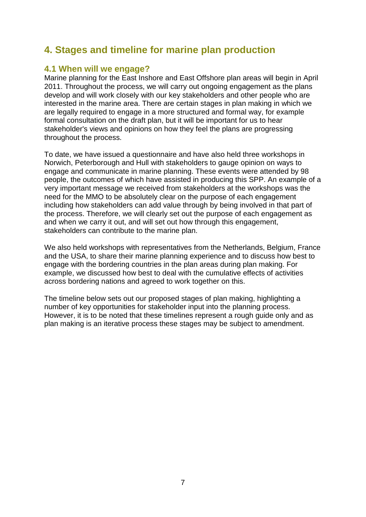# <span id="page-9-0"></span> **4. Stages and timeline for marine plan production**

# <span id="page-9-1"></span>**4.1 When will we engage?**

 2011. Throughout the process, we will carry out ongoing engagement as the plans Marine planning for the East Inshore and East Offshore plan areas will begin in April develop and will work closely with our key stakeholders and other people who are interested in the marine area. There are certain stages in plan making in which we are legally required to engage in a more structured and formal way, for example formal consultation on the draft plan, but it will be important for us to hear stakeholder's views and opinions on how they feel the plans are progressing throughout the process.

 the process. Therefore, we will clearly set out the purpose of each engagement as To date, we have issued a questionnaire and have also held three workshops in Norwich, Peterborough and Hull with stakeholders to gauge opinion on ways to engage and communicate in marine planning. These events were attended by 98 people, the outcomes of which have assisted in producing this SPP. An example of a very important message we received from stakeholders at the workshops was the need for the MMO to be absolutely clear on the purpose of each engagement including how stakeholders can add value through by being involved in that part of and when we carry it out, and will set out how through this engagement, stakeholders can contribute to the marine plan.

 example, we discussed how best to deal with the cumulative effects of activities across bordering nations and agreed to work together on this. We also held workshops with representatives from the Netherlands, Belgium, France and the USA, to share their marine planning experience and to discuss how best to engage with the bordering countries in the plan areas during plan making. For

 number of key opportunities for stakeholder input into the planning process. The timeline below sets out our proposed stages of plan making, highlighting a However, it is to be noted that these timelines represent a rough guide only and as plan making is an iterative process these stages may be subject to amendment.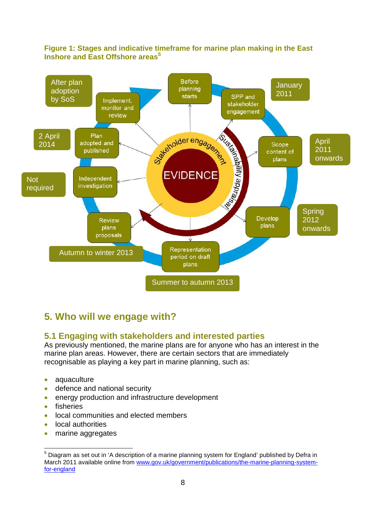

#### **Figure 1: Stages and indicative timeframe for marine plan making in the East Inshore and East Offshore areas[5](#page-10-2)**

# <span id="page-10-0"></span>**5. Who will we engage with?**

# <span id="page-10-1"></span>**5.1 Engaging with stakeholders and interested parties**

 recognisable as playing a key part in marine planning, such as: As previously mentioned, the marine plans are for anyone who has an interest in the marine plan areas. However, there are certain sectors that are immediately

- aquaculture
- defence and national security
- energy production and infrastructure development
- fisheries
- local communities and elected members
- local authorities
- marine aggregates

<span id="page-10-2"></span>for-england  $\overline{a}$  $5$  Diagram as set out in 'A description of a marine planning system for England' published by Defra in March 2011 available online from [www.gov.uk/government/publications/the-marine-planning-system](http://www.gov.uk/government/publications/the-marine-planning-system-for-england)or-england and a series of the series of the series of the series of the series of the series of the series of <br>East of the series of the series of the series of the series of the series of the series of the series of the<br>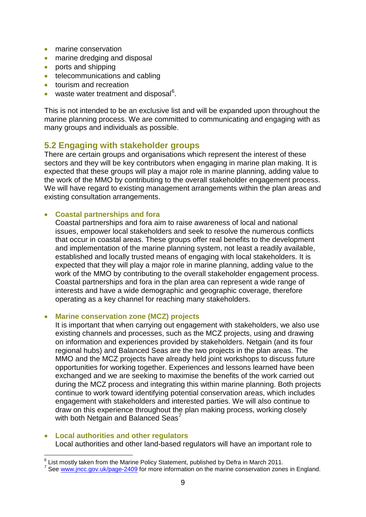- marine conservation
- marine dredging and disposal
- ports and shipping
- telecommunications and cabling
- tourism and recreation
- waste water treatment and disposal $^6$  $^6$ .

 marine planning process. We are committed to communicating and engaging with as This is not intended to be an exclusive list and will be expanded upon throughout the many groups and individuals as possible.

## <span id="page-11-0"></span>**5.2 Engaging with stakeholder groups**

There are certain groups and organisations which represent the interest of these sectors and they will be key contributors when engaging in marine plan making. It is expected that these groups will play a major role in marine planning, adding value to the work of the MMO by contributing to the overall stakeholder engagement process. We will have regard to existing management arrangements within the plan areas and existing consultation arrangements.

#### • **Coastal partnerships and fora**

Coastal partnerships and fora aim to raise awareness of local and national issues, empower local stakeholders and seek to resolve the numerous conflicts that occur in coastal areas. These groups offer real benefits to the development and implementation of the marine planning system, not least a readily available, established and locally trusted means of engaging with local stakeholders. It is expected that they will play a major role in marine planning, adding value to the work of the MMO by contributing to the overall stakeholder engagement process. Coastal partnerships and fora in the plan area can represent a wide range of interests and have a wide demographic and geographic coverage, therefore operating as a key channel for reaching many stakeholders.

#### • **Marine conservation zone (MCZ) projects**

It is important that when carrying out engagement with stakeholders, we also use existing channels and processes, such as the MCZ projects, using and drawing on information and experiences provided by stakeholders. Netgain (and its four regional hubs) and Balanced Seas are the two projects in the plan areas. The MMO and the MCZ projects have already held joint workshops to discuss future opportunities for working together. Experiences and lessons learned have been exchanged and we are seeking to maximise the benefits of the work carried out during the MCZ process and integrating this within marine planning. Both projects continue to work toward identifying potential conservation areas, which includes engagement with stakeholders and interested parties. We will also continue to draw on this experience throughout the plan making process, working closely with both Netgain and Balanced Seas<sup>[7](#page-11-2)</sup>

#### • **Local authorities and other regulators**

Local authorities and other land-based regulators will have an important role to

<span id="page-11-1"></span> $\overline{a}$  $\frac{6}{5}$  List mostly taken from the Marine Policy Statement, published by Defra in March 2011.

<span id="page-11-2"></span><sup>&</sup>lt;sup>7</sup> See [www.jncc.gov.uk/page-2409](http://www.jncc.gov.uk/page-2409) for more information on the marine conservation zones in England.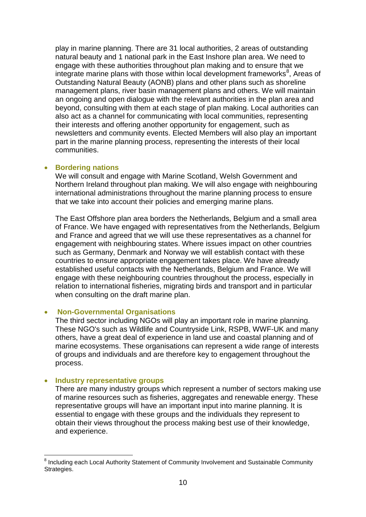Outstanding Natural Beauty (AONB) plans and other plans such as shoreline management plans, river basin management plans and others. We will maintain beyond, consulting with them at each stage of plan making. Local authorities can also act as a channel for communicating with local communities, representing play in marine planning. There are 31 local authorities, 2 areas of outstanding natural beauty and 1 national park in the East Inshore plan area. We need to engage with these authorities throughout plan making and to ensure that we integrate marine plans with those within local development frameworks $^8$  $^8$ , Areas of an ongoing and open dialogue with the relevant authorities in the plan area and their interests and offering another opportunity for engagement, such as newsletters and community events. Elected Members will also play an important part in the marine planning process, representing the interests of their local communities.

#### • **Bordering nations**

We will consult and engage with Marine Scotland, Welsh Government and Northern Ireland throughout plan making. We will also engage with neighbouring international administrations throughout the marine planning process to ensure that we take into account their policies and emerging marine plans.

 of France. We have engaged with representatives from the Netherlands, Belgium and France and agreed that we will use these representatives as a channel for countries to ensure appropriate engagement takes place. We have already The East Offshore plan area borders the Netherlands, Belgium and a small area engagement with neighbouring states. Where issues impact on other countries such as Germany, Denmark and Norway we will establish contact with these established useful contacts with the Netherlands, Belgium and France. We will engage with these neighbouring countries throughout the process, especially in relation to international fisheries, migrating birds and transport and in particular when consulting on the draft marine plan.

#### • **Non-Governmental Organisations**

 These NGO's such as Wildlife and Countryside Link, RSPB, WWF-UK and many of groups and individuals and are therefore key to engagement throughout the process. The third sector including NGOs will play an important role in marine planning. others, have a great deal of experience in land use and coastal planning and of marine ecosystems. These organisations can represent a wide range of interests

#### **Industry representative groups**

There are many industry groups which represent a number of sectors making use of marine resources such as fisheries, aggregates and renewable energy. These representative groups will have an important input into marine planning. It is essential to engage with these groups and the individuals they represent to obtain their views throughout the process making best use of their knowledge, and experience.

<span id="page-12-0"></span> $\overline{a}$ <sup>8</sup> Including each Local Authority Statement of Community Involvement and Sustainable Community Strategies.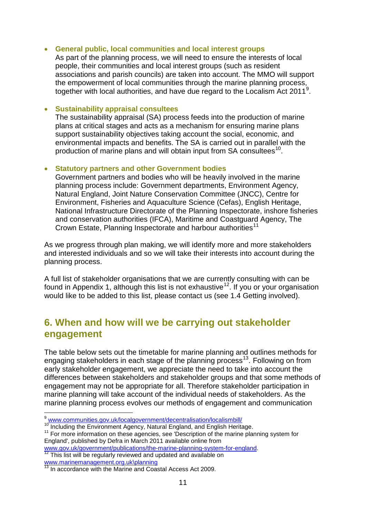#### • **General public, local communities and local interest groups**

 As part of the planning process, we will need to ensure the interests of local people, their communities and local interest groups (such as resident associations and parish councils) are taken into account. The MMO will support the empowerment of local communities through the marine planning process, together with local authorities, and have due regard to the Localism Act 2011<sup>[9](#page-13-1)</sup>.

#### • **Sustainability appraisal consultees**

 plans at critical stages and acts as a mechanism for ensuring marine plans production of marine plans and will obtain input from SA consultees $^{10}$ . The sustainability appraisal (SA) process feeds into the production of marine support sustainability objectives taking account the social, economic, and environmental impacts and benefits. The SA is carried out in parallel with the

#### • **Statutory partners and other Government bodies**

Crown Estate, Planning Inspectorate and harbour authorities<sup>11</sup> Government partners and bodies who will be heavily involved in the marine planning process include: Government departments, Environment Agency, Natural England, Joint Nature Conservation Committee (JNCC), Centre for Environment, Fisheries and Aquaculture Science (Cefas), English Heritage, National Infrastructure Directorate of the Planning Inspectorate, inshore fisheries and conservation authorities (IFCA), Maritime and Coastguard Agency, The

As we progress through plan making, we will identify more and more stakeholders and interested individuals and so we will take their interests into account during the planning process.

A full list of stakeholder organisations that we are currently consulting with can be found in Appendix 1, although this list is not exhaustive<sup>[12](#page-13-4)</sup>. If you or your organisation would like to be added to this list, please contact us (see 1.4 Getting involved).

# <span id="page-13-0"></span> **6. When and how will we be carrying out stakeholder engagement**

 The table below sets out the timetable for marine planning and outlines methods for engaging stakeholders in each stage of the planning process<sup>[13](#page-13-5)</sup>. Following on from differences between stakeholders and stakeholder groups and that some methods of engagement may not be appropriate for all. Therefore stakeholder participation in marine planning will take account of the individual needs of stakeholders. As the early stakeholder engagement, we appreciate the need to take into account the marine planning process evolves our methods of engagement and communication

 $\overline{a}$ 9 [www.communities.gov.uk/localgovernment/decentralisation/localismbill/](http://www.communities.gov.uk/localgovernment/decentralisation/localismbill/)

<span id="page-13-3"></span><span id="page-13-2"></span><span id="page-13-1"></span><sup>10</sup> Including the Environment Agency, Natural England, and English Heritage.

<sup>&</sup>lt;sup>'''</sup> Including the Environment Agency, Natural England, and English Heritage.<br><sup>11</sup> For more information on these agencies, see 'Description of the marine planning system for England', published by Defra in March 2011 available online from

[www.gov.uk/government/publications/the-marine-planning-system-for-england.](http://www.gov.uk/government/publications/the-marine-planning-system-for-england) 12 This list will be regularly reviewed and updated and available on

<span id="page-13-4"></span>[www.marinemanagement.org.uk\planning](http://www.marinemanagement.org.uk/planning)<br><sup>13</sup> In accordance with the Marine and Coastal Access Act 2009.

<span id="page-13-5"></span>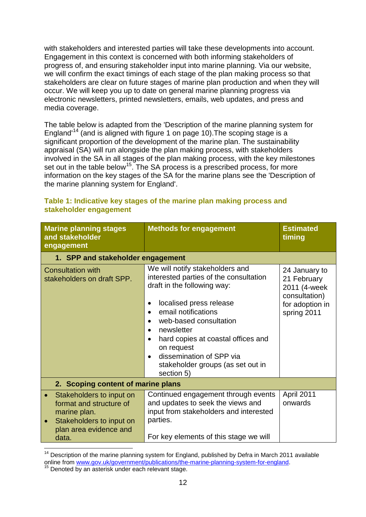stakeholders are clear on future stages of marine plan production and when they will electronic newsletters, printed newsletters, emails, web updates, and press and with stakeholders and interested parties will take these developments into account. Engagement in this context is concerned with both informing stakeholders of progress of, and ensuring stakeholder input into marine planning. Via our website, we will confirm the exact timings of each stage of the plan making process so that occur. We will keep you up to date on general marine planning progress via media coverage.

 information on the key stages of the SA for the marine plans see the 'Description of The table below is adapted from the 'Description of the marine planning system for England'[14](#page-14-0) (and is aligned with figure 1 on page 10).The scoping stage is a significant proportion of the development of the marine plan. The sustainability appraisal (SA) will run alongside the plan making process, with stakeholders involved in the SA in all stages of the plan making process, with the key milestones set out in the table below<sup>[15](#page-14-1)</sup>. The SA process is a prescribed process, for more the marine planning system for England'.

| <b>Marine planning stages</b><br>and stakeholder<br>engagement                                                                     | <b>Methods for engagement</b>                                                                                                                                                                                                                                                                                                                                                | <b>Estimated</b><br>timing                                                                      |  |  |
|------------------------------------------------------------------------------------------------------------------------------------|------------------------------------------------------------------------------------------------------------------------------------------------------------------------------------------------------------------------------------------------------------------------------------------------------------------------------------------------------------------------------|-------------------------------------------------------------------------------------------------|--|--|
| 1. SPP and stakeholder engagement                                                                                                  |                                                                                                                                                                                                                                                                                                                                                                              |                                                                                                 |  |  |
| <b>Consultation with</b><br>stakeholders on draft SPP.                                                                             | We will notify stakeholders and<br>interested parties of the consultation<br>draft in the following way:<br>localised press release<br>email notifications<br>$\bullet$<br>web-based consultation<br>newsletter<br>hard copies at coastal offices and<br>$\bullet$<br>on request<br>dissemination of SPP via<br>$\bullet$<br>stakeholder groups (as set out in<br>section 5) | 24 January to<br>21 February<br>2011 (4-week<br>consultation)<br>for adoption in<br>spring 2011 |  |  |
| 2. Scoping content of marine plans                                                                                                 |                                                                                                                                                                                                                                                                                                                                                                              |                                                                                                 |  |  |
| Stakeholders to input on<br>format and structure of<br>marine plan.<br>Stakeholders to input on<br>plan area evidence and<br>data. | Continued engagement through events<br>and updates to seek the views and<br>input from stakeholders and interested<br>parties.<br>For key elements of this stage we will                                                                                                                                                                                                     | April 2011<br>onwards                                                                           |  |  |

## **Table 1: Indicative key stages of the marine plan making process and stakeholder engagement**

<span id="page-14-0"></span> $\overline{a}$ <sup>14</sup> Description of the marine planning system for England, published by Defra in March 2011 available online from [www.gov.uk/government/publications/the-marine-planning-system-for-england.](http://www.gov.uk/government/publications/the-marine-planning-system-for-england)<br><sup>15</sup> Denoted by an asterisk under each relevant stage.

<span id="page-14-1"></span>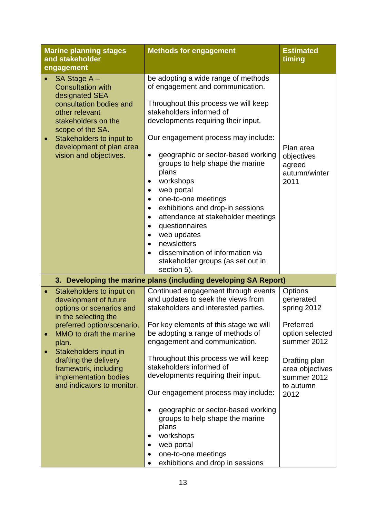| <b>Marine planning stages</b><br>and stakeholder<br>engagement                                                                                                                                                                      | <b>Methods for engagement</b>                                                                                                                                                                                                                                                                                                                                                                                                                                                                                                                                                                                                                                                     | <b>Estimated</b><br>timing                                           |
|-------------------------------------------------------------------------------------------------------------------------------------------------------------------------------------------------------------------------------------|-----------------------------------------------------------------------------------------------------------------------------------------------------------------------------------------------------------------------------------------------------------------------------------------------------------------------------------------------------------------------------------------------------------------------------------------------------------------------------------------------------------------------------------------------------------------------------------------------------------------------------------------------------------------------------------|----------------------------------------------------------------------|
| SA Stage A-<br><b>Consultation with</b><br>designated SEA<br>consultation bodies and<br>other relevant<br>stakeholders on the<br>scope of the SA.<br>Stakeholders to input to<br>development of plan area<br>vision and objectives. | be adopting a wide range of methods<br>of engagement and communication.<br>Throughout this process we will keep<br>stakeholders informed of<br>developments requiring their input.<br>Our engagement process may include:<br>geographic or sector-based working<br>$\bullet$<br>groups to help shape the marine<br>plans<br>workshops<br>٠<br>web portal<br>٠<br>one-to-one meetings<br>$\bullet$<br>exhibitions and drop-in sessions<br>٠<br>attendance at stakeholder meetings<br>٠<br>questionnaires<br>$\bullet$<br>web updates<br>$\bullet$<br>newsletters<br>$\bullet$<br>dissemination of information via<br>$\bullet$<br>stakeholder groups (as set out in<br>section 5). | Plan area<br>objectives<br>agreed<br>autumn/winter<br>2011           |
|                                                                                                                                                                                                                                     | 3. Developing the marine plans (including developing SA Report)                                                                                                                                                                                                                                                                                                                                                                                                                                                                                                                                                                                                                   |                                                                      |
| Stakeholders to input on<br>development of future<br>options or scenarios and<br>in the selecting the                                                                                                                               | Continued engagement through events<br>and updates to seek the views from<br>stakeholders and interested parties.                                                                                                                                                                                                                                                                                                                                                                                                                                                                                                                                                                 | Options<br>generated<br>spring 2012                                  |
| preferred option/scenario.<br>MMO to draft the marine<br>plan.                                                                                                                                                                      | For key elements of this stage we will<br>be adopting a range of methods of<br>engagement and communication.                                                                                                                                                                                                                                                                                                                                                                                                                                                                                                                                                                      | Preferred<br>option selected<br>summer 2012                          |
| Stakeholders input in<br>drafting the delivery<br>framework, including<br>implementation bodies<br>and indicators to monitor.                                                                                                       | Throughout this process we will keep<br>stakeholders informed of<br>developments requiring their input.<br>Our engagement process may include:                                                                                                                                                                                                                                                                                                                                                                                                                                                                                                                                    | Drafting plan<br>area objectives<br>summer 2012<br>to autumn<br>2012 |
|                                                                                                                                                                                                                                     | geographic or sector-based working<br>groups to help shape the marine<br>plans<br>workshops<br>web portal<br>$\bullet$<br>one-to-one meetings<br>$\bullet$<br>exhibitions and drop in sessions<br>٠                                                                                                                                                                                                                                                                                                                                                                                                                                                                               |                                                                      |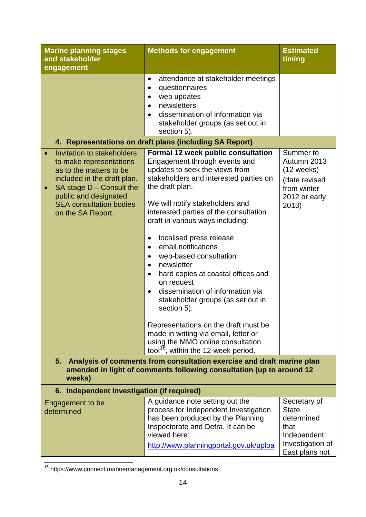| <b>Marine planning stages</b><br>and stakeholder<br>engagement                                                                                                                                                                | <b>Methods for engagement</b>                                                                                                                                                                                                                                                                                                                                                                                                                                                                                                                                                                           | <b>Estimated</b><br>timing                                                                              |  |
|-------------------------------------------------------------------------------------------------------------------------------------------------------------------------------------------------------------------------------|---------------------------------------------------------------------------------------------------------------------------------------------------------------------------------------------------------------------------------------------------------------------------------------------------------------------------------------------------------------------------------------------------------------------------------------------------------------------------------------------------------------------------------------------------------------------------------------------------------|---------------------------------------------------------------------------------------------------------|--|
|                                                                                                                                                                                                                               | attendance at stakeholder meetings<br>$\bullet$<br>questionnaires<br>$\bullet$<br>web updates<br>$\bullet$<br>newsletters<br>$\bullet$<br>dissemination of information via<br>stakeholder groups (as set out in<br>section 5).                                                                                                                                                                                                                                                                                                                                                                          |                                                                                                         |  |
|                                                                                                                                                                                                                               | 4. Representations on draft plans (including SA Report)                                                                                                                                                                                                                                                                                                                                                                                                                                                                                                                                                 |                                                                                                         |  |
| Invitation to stakeholders<br>to make representations<br>as to the matters to be<br>included in the draft plan.<br>SA stage $D$ – Consult the<br>public and designated<br><b>SEA consultation bodies</b><br>on the SA Report. | Formal 12 week public consultation<br>Engagement through events and<br>updates to seek the views from<br>stakeholders and interested parties on<br>the draft plan.<br>We will notify stakeholders and<br>interested parties of the consultation<br>draft in various ways including:<br>localised press release<br>$\bullet$<br>email notifications<br>$\bullet$<br>web-based consultation<br>$\bullet$<br>newsletter<br>$\bullet$<br>hard copies at coastal offices and<br>$\bullet$<br>on request<br>dissemination of information via<br>$\bullet$<br>stakeholder groups (as set out in<br>section 5). | Summer to<br>Autumn 2013<br>$(12$ weeks)<br>(date revised<br>from winter<br>2012 or early<br>2013)      |  |
|                                                                                                                                                                                                                               | Representations on the draft must be<br>made in writing via email, letter or<br>using the MMO online consultation<br>tool <sup>16</sup> , within the 12-week period.                                                                                                                                                                                                                                                                                                                                                                                                                                    |                                                                                                         |  |
| Analysis of comments from consultation exercise and draft marine plan<br>5.<br>amended in light of comments following consultation (up to around 12<br>weeks)                                                                 |                                                                                                                                                                                                                                                                                                                                                                                                                                                                                                                                                                                                         |                                                                                                         |  |
| 6. Independent Investigation (if required)                                                                                                                                                                                    |                                                                                                                                                                                                                                                                                                                                                                                                                                                                                                                                                                                                         |                                                                                                         |  |
| Engagement to be<br>determined                                                                                                                                                                                                | A guidance note setting out the<br>process for Independent Investigation<br>has been produced by the Planning<br>Inspectorate and Defra. It can be<br>viewed here:<br>http://www.planningportal.gov.uk/uploa                                                                                                                                                                                                                                                                                                                                                                                            | Secretary of<br><b>State</b><br>determined<br>that<br>Independent<br>Investigation of<br>East plans not |  |

<span id="page-16-0"></span> $\overline{a}$ <sup>16</sup> https://www.connect.marinemanagement.org.uk/consultations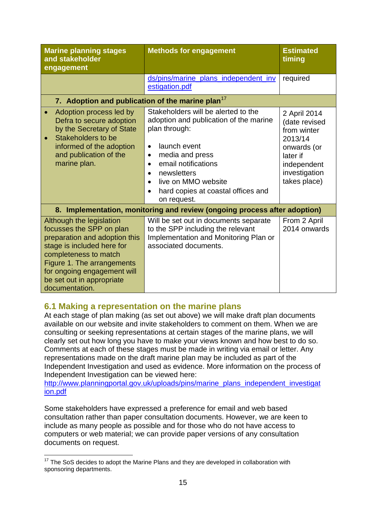| <b>Marine planning stages</b><br>and stakeholder<br>engagement                                                                                                                                                                                           | <b>Methods for engagement</b>                                                                                                                                                                                                                                                                                        | <b>Estimated</b><br>timing                                                                                                         |  |  |
|----------------------------------------------------------------------------------------------------------------------------------------------------------------------------------------------------------------------------------------------------------|----------------------------------------------------------------------------------------------------------------------------------------------------------------------------------------------------------------------------------------------------------------------------------------------------------------------|------------------------------------------------------------------------------------------------------------------------------------|--|--|
|                                                                                                                                                                                                                                                          | ds/pins/marine_plans_independent_inv<br>estigation.pdf                                                                                                                                                                                                                                                               | required                                                                                                                           |  |  |
| 7. Adoption and publication of the marine plan <sup>17</sup>                                                                                                                                                                                             |                                                                                                                                                                                                                                                                                                                      |                                                                                                                                    |  |  |
| Adoption process led by<br>Defra to secure adoption<br>by the Secretary of State<br>Stakeholders to be<br>informed of the adoption<br>and publication of the<br>marine plan.                                                                             | Stakeholders will be alerted to the<br>adoption and publication of the marine<br>plan through:<br>launch event<br>$\bullet$<br>media and press<br>$\bullet$<br>email notifications<br>$\bullet$<br>newsletters<br>$\bullet$<br>live on MMO website<br>$\bullet$<br>hard copies at coastal offices and<br>on request. | 2 April 2014<br>(date revised<br>from winter<br>2013/14<br>onwards (or<br>later if<br>independent<br>investigation<br>takes place) |  |  |
| 8. Implementation, monitoring and review (ongoing process after adoption)                                                                                                                                                                                |                                                                                                                                                                                                                                                                                                                      |                                                                                                                                    |  |  |
| Although the legislation<br>focusses the SPP on plan<br>preparation and adoption this<br>stage is included here for<br>completeness to match<br>Figure 1. The arrangements<br>for ongoing engagement will<br>be set out in appropriate<br>documentation. | Will be set out in documents separate<br>to the SPP including the relevant<br>Implementation and Monitoring Plan or<br>associated documents.                                                                                                                                                                         | From 2 April<br>2014 onwards                                                                                                       |  |  |

# <span id="page-17-0"></span>**6.1 Making a representation on the marine plans**

 At each stage of plan making (as set out above) we will make draft plan documents Comments at each of these stages must be made in writing via email or letter. Any available on our website and invite stakeholders to comment on them. When we are consulting or seeking representations at certain stages of the marine plans, we will clearly set out how long you have to make your views known and how best to do so. representations made on the draft marine plan may be included as part of the Independent Investigation and used as evidence. More information on the process of Independent Investigation can be viewed here:

ion.pdf http://www.planningportal.gov.uk/uploads/pins/marine\_plans\_independent\_investigat

Some stakeholders have expressed a preference for email and web based consultation rather than paper consultation documents. However, we are keen to include as many people as possible and for those who do not have access to computers or web material; we can provide paper versions of any consultation documents on request.

<span id="page-17-1"></span> $\overline{a}$  $17$  The SoS decides to adopt the Marine Plans and they are developed in collaboration with sponsoring departments.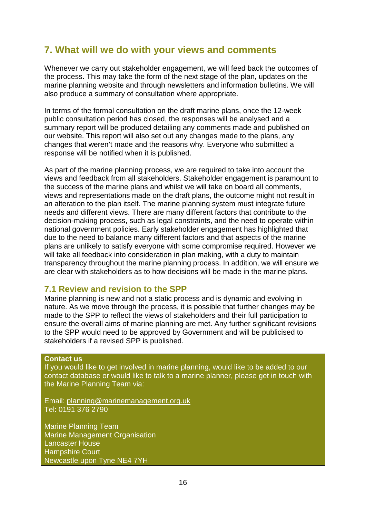# <span id="page-18-0"></span> **7. What will we do with your views and comments**

 marine planning website and through newsletters and information bulletins. We will Whenever we carry out stakeholder engagement, we will feed back the outcomes of the process. This may take the form of the next stage of the plan, updates on the also produce a summary of consultation where appropriate.

 our website. This report will also set out any changes made to the plans, any In terms of the formal consultation on the draft marine plans, once the 12-week public consultation period has closed, the responses will be analysed and a summary report will be produced detailing any comments made and published on changes that weren't made and the reasons why. Everyone who submitted a response will be notified when it is published.

 the success of the marine plans and whilst we will take on board all comments, national government policies. Early stakeholder engagement has highlighted that As part of the marine planning process, we are required to take into account the views and feedback from all stakeholders. Stakeholder engagement is paramount to views and representations made on the draft plans, the outcome might not result in an alteration to the plan itself. The marine planning system must integrate future needs and different views. There are many different factors that contribute to the decision-making process, such as legal constraints, and the need to operate within due to the need to balance many different factors and that aspects of the marine plans are unlikely to satisfy everyone with some compromise required. However we will take all feedback into consideration in plan making, with a duty to maintain transparency throughout the marine planning process. In addition, we will ensure we are clear with stakeholders as to how decisions will be made in the marine plans.

# <span id="page-18-1"></span> **7.1 Review and revision to the SPP**

 ensure the overall aims of marine planning are met. Any further significant revisions Marine planning is new and not a static process and is dynamic and evolving in nature. As we move through the process, it is possible that further changes may be made to the SPP to reflect the views of stakeholders and their full participation to to the SPP would need to be approved by Government and will be publicised to stakeholders if a revised SPP is published.

#### **Contact us**

If you would like to get involved in marine planning, would like to be added to our contact database or would like to talk to a marine planner, please get in touch with the Marine Planning Team via:

Email: <u>planning@marinemanagement.org.uk</u><br>Tel: 0191 376 2790

Marine Planning Team Marine Management Organisation Lancaster House Hampshire Court Newcastle upon Tyne NE4 7YH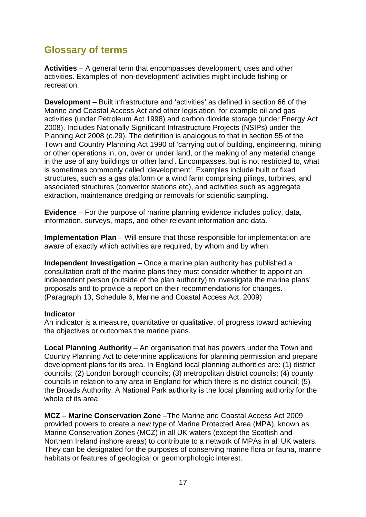# <span id="page-19-0"></span>**Glossary of terms**

 **Activities** – A general term that encompasses development, uses and other activities. Examples of 'non-development' activities might include fishing or recreation.

 **Development** – Built infrastructure and 'activities' as defined in section 66 of the 2008). Includes Nationally Significant Infrastructure Projects (NSIPs) under the or other operations in, on, over or under land, or the making of any material change Marine and Coastal Access Act and other legislation, for example oil and gas activities (under Petroleum Act 1998) and carbon dioxide storage (under Energy Act Planning Act 2008 (c.29). The definition is analogous to that in section 55 of the Town and Country Planning Act 1990 of 'carrying out of building, engineering, mining in the use of any buildings or other land'. Encompasses, but is not restricted to, what is sometimes commonly called 'development'. Examples include built or fixed structures, such as a gas platform or a wind farm comprising pilings, turbines, and associated structures (convertor stations etc), and activities such as aggregate extraction, maintenance dredging or removals for scientific sampling.

 **Evidence** – For the purpose of marine planning evidence includes policy, data, information, surveys, maps, and other relevant information and data.

 **Implementation Plan** – Will ensure that those responsible for implementation are aware of exactly which activities are required, by whom and by when.

proposals and to provide a report on their recommendations for changes.<br>(Paragraph 13, Schedule 6, Marine and Coastal Access Act, 2009) (Paragraph 13, Schedule 6, Marine and Coastal Access Act, 2009) **Independent Investigation** – Once a marine plan authority has published a consultation draft of the marine plans they must consider whether to appoint an independent person (outside of the plan authority) to investigate the marine plans'

#### **Indicator**

An indicator is a measure, quantitative or qualitative, of progress toward achieving the objectives or outcomes the marine plans.

 the Broads Authority. A National Park authority is the local planning authority for the **Local Planning Authority** – An organisation that has powers under the Town and Country Planning Act to determine applications for planning permission and prepare development plans for its area. In England local planning authorities are: (1) district councils; (2) London borough councils; (3) metropolitan district councils; (4) county councils in relation to any area in England for which there is no district council; (5) whole of its area.

 They can be designated for the purposes of conserving marine flora or fauna, marine habitats or features of geological or geomorphologic interest. **MCZ – Marine Conservation Zone** –The Marine and Coastal Access Act 2009 provided powers to create a new type of Marine Protected Area (MPA), known as Marine Conservation Zones (MCZ) in all UK waters (except the Scottish and Northern Ireland inshore areas) to contribute to a network of MPAs in all UK waters.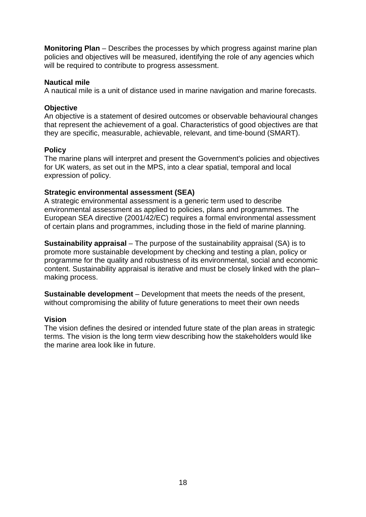**Monitoring Plan** – Describes the processes by which progress against marine plan will be required to contribute to progress assessment. policies and objectives will be measured, identifying the role of any agencies which

#### **Nautical mile**

A nautical mile is a unit of distance used in marine navigation and marine forecasts.

#### **Objective**

An objective is a statement of desired outcomes or observable behavioural changes that represent the achievement of a goal. Characteristics of good objectives are that they are specific, measurable, achievable, relevant, and time-bound (SMART).

#### **Policy**

 for UK waters, as set out in the MPS, into a clear spatial, temporal and local The marine plans will interpret and present the Government's policies and objectives expression of policy.

#### **Strategic environmental assessment (SEA)**

A strategic environmental assessment is a generic term used to describe environmental assessment as applied to policies, plans and programmes. The European SEA directive (2001/42/EC) requires a formal environmental assessment of certain plans and programmes, including those in the field of marine planning.

 **Sustainability appraisal** – The purpose of the sustainability appraisal (SA) is to promote more sustainable development by checking and testing a plan, policy or programme for the quality and robustness of its environmental, social and economic content. Sustainability appraisal is iterative and must be closely linked with the plan– making process.

 **Sustainable development** – Development that meets the needs of the present, without compromising the ability of future generations to meet their own needs

#### **Vision**

The vision defines the desired or intended future state of the plan areas in strategic terms. The vision is the long term view describing how the stakeholders would like the marine area look like in future.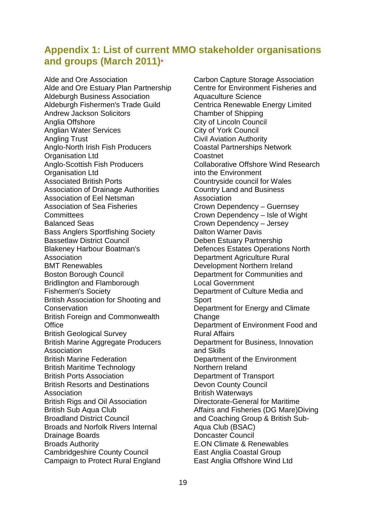# <span id="page-21-0"></span>**Appendix 1: List of current MMO stakeholder organisations and groups (March 2011)**\*

Alde and Ore Association Alde and Ore Estuary Plan Partnership Aldeburgh Business Association Aldeburgh Fishermen's Trade Guild Andrew Jackson Solicitors Anglia Offshore Anglian Water Services Angling Trust Anglo-North Irish Fish Producers Organisation Ltd Anglo-Scottish Fish Producers Organisation Ltd Associated British Ports Association of Drainage Authorities Association of Eel Netsman Association of Sea Fisheries **Committees** Balanced Seas Bass Anglers Sportfishing Society Bassetlaw District Council Blakeney Harbour Boatman's Association BMT Renewables Boston Borough Council Bridlington and Flamborough Fishermen's Society British Association for Shooting and **Conservation** British Foreign and Commonwealth **Office** British Geological Survey British Marine Aggregate Producers **Association** British Marine Federation British Maritime Technology British Ports Association British Resorts and Destinations **Association** British Rigs and Oil Association British Sub Aqua Club Broadland District Council Broads and Norfolk Rivers Internal Drainage Boards Broads Authority Cambridgeshire County Council Campaign to Protect Rural England

Association Association<br>Crown Dependency – Guernsey Crown Dependency – Jersey British Waterways Carbon Capture Storage Association Centre for Environment Fisheries and Aquaculture Science Centrica Renewable Energy Limited Chamber of Shipping City of Lincoln Council City of York Council Civil Aviation Authority Coastal Partnerships Network Coastnet Collaborative Offshore Wind Research into the Environment Countryside council for Wales Country Land and Business Crown Dependency – Isle of Wight Dalton Warner Davis Deben Estuary Partnership Defences Estates Operations North Department Agriculture Rural Development Northern Ireland Department for Communities and Local Government Department of Culture Media and **Sport** Department for Energy and Climate Change Department of Environment Food and Rural Affairs Department for Business, Innovation and Skills Department of the Environment Northern Ireland Department of Transport Devon County Council Directorate-General for Maritime Affairs and Fisheries (DG Mare)Diving and Coaching Group & British Sub-Aqua Club (BSAC) Doncaster Council E.ON Climate & Renewables East Anglia Coastal Group East Anglia Offshore Wind Ltd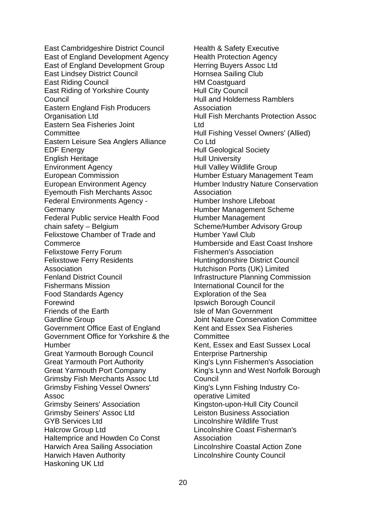Eastern Sea Fisheries Joint chain safety – Belgium East Cambridgeshire District Council East of England Development Agency East of England Development Group East Lindsey District Council East Riding Council East Riding of Yorkshire County **Council** Eastern England Fish Producers Organisation Ltd Committee Eastern Leisure Sea Anglers Alliance EDF Energy English Heritage Environment Agency European Commission European Environment Agency Eyemouth Fish Merchants Assoc Federal Environments Agency Germany Federal Public service Health Food Felixstowe Chamber of Trade and Commerce Felixstowe Ferry Forum Felixstowe Ferry Residents Association Fenland District Council Fishermans Mission Food Standards Agency Forewind Friends of the Earth Gardline Group Government Office East of England Government Office for Yorkshire & the Humber Great Yarmouth Borough Council Great Yarmouth Port Authority Great Yarmouth Port Company Grimsby Fish Merchants Assoc Ltd Grimsby Fishing Vessel Owners' Assoc Grimsby Seiners' Association Grimsby Seiners' Assoc Ltd GYB Services Ltd Halcrow Group Ltd Haltemprice and Howden Co Const Harwich Area Sailing Association Harwich Haven Authority Haskoning UK Ltd

Association Humberside and East Coast Inshore King's Lynn and West Norfolk Borough Health & Safety Executive Health Protection Agency Herring Buyers Assoc Ltd Hornsea Sailing Club HM Coastguard Hull City Council Hull and Holderness Ramblers Association Hull Fish Merchants Protection Assoc Ltd Hull Fishing Vessel Owners' (Allied) Co Ltd Hull Geological Society Hull University Hull Valley Wildlife Group Humber Estuary Management Team Humber Industry Nature Conservation Humber Inshore Lifeboat Humber Management Scheme Humber Management Scheme/Humber Advisory Group Humber Yawl Club Fishermen's Association Huntingdonshire District Council Hutchison Ports (UK) Limited Infrastructure Planning Commission International Council for the Exploration of the Sea Ipswich Borough Council Isle of Man Government Joint Nature Conservation Committee Kent and Essex Sea Fisheries **Committee** Kent, Essex and East Sussex Local Enterprise Partnership King's Lynn Fishermen's Association **Council** King's Lynn Fishing Industry Cooperative Limited Kingston-upon-Hull City Council Leiston Business Association Lincolnshire Wildlife Trust Lincolnshire Coast Fisherman's Association Lincolnshire Coastal Action Zone Lincolnshire County Council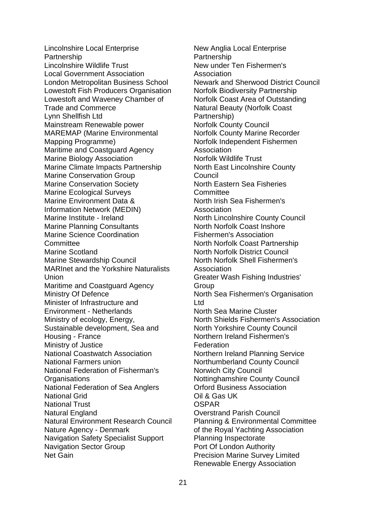Lowestoft and Waveney Chamber of Marine Institute - Ireland Housing - France Nature Agency - Denmark Lincolnshire Local Enterprise Partnership Lincolnshire Wildlife Trust Local Government Association London Metropolitan Business School Lowestoft Fish Producers Organisation Trade and Commerce Lynn Shellfish Ltd Mainstream Renewable power MAREMAP (Marine Environmental Mapping Programme) Maritime and Coastguard Agency Marine Biology Association Marine Climate Impacts Partnership Marine Conservation Group Marine Conservation Society Marine Ecological Surveys Marine Environment Data & Information Network (MEDIN) Marine Planning Consultants Marine Science Coordination **Committee** Marine Scotland Marine Stewardship Council MARInet and the Yorkshire Naturalists Union Maritime and Coastguard Agency Ministry Of Defence Minister of Infrastructure and Environment - Netherlands Ministry of ecology, Energy, Sustainable development, Sea and Ministry of Justice National Coastwatch Association National Farmers union National Federation of Fisherman's **Organisations** National Federation of Sea Anglers National Grid National Trust Natural England Natural Environment Research Council Navigation Safety Specialist Support Navigation Sector Group Net Gain

 Greater Wash Fishing Industries' New Anglia Local Enterprise Partnership New under Ten Fishermen's Association Newark and Sherwood District Council Norfolk Biodiversity Partnership Norfolk Coast Area of Outstanding Natural Beauty (Norfolk Coast Partnership) Norfolk County Council Norfolk County Marine Recorder Norfolk Independent Fishermen Association Norfolk Wildlife Trust North East Lincolnshire County Council North Eastern Sea Fisheries **Committee** North Irish Sea Fishermen's Association North Lincolnshire County Council North Norfolk Coast Inshore Fishermen's Association North Norfolk Coast Partnership North Norfolk District Council North Norfolk Shell Fishermen's Association Group North Sea Fishermen's Organisation Ltd North Sea Marine Cluster North Shields Fishermen's Association North Yorkshire County Council Northern Ireland Fishermen's Federation Northern Ireland Planning Service Northumberland County Council Norwich City Council Nottinghamshire County Council Orford Business Association Oil & Gas UK **OSPAR** Overstrand Parish Council Planning & Environmental Committee of the Royal Yachting Association Planning Inspectorate Port Of London Authority Precision Marine Survey Limited Renewable Energy Association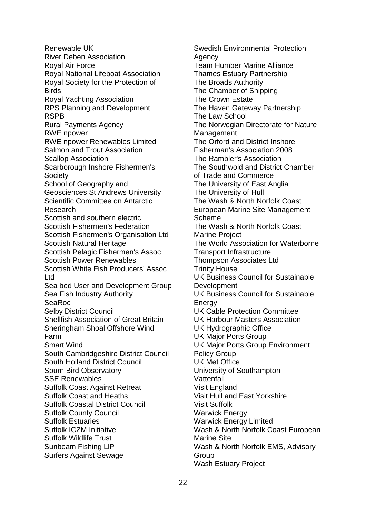Sheringham Shoal Offshore Wind Suffolk Coastal District Council Suffolk ICZM Initiative Renewable UK River Deben Association Royal Air Force Royal National Lifeboat Association Royal Society for the Protection of Birds Royal Yachting Association RPS Planning and Development RSPB Rural Payments Agency RWE npower RWE npower Renewables Limited Salmon and Trout Association Scallop Association Scarborough Inshore Fishermen's Society School of Geography and Geosciences St Andrews University Scientific Committee on Antarctic Research Scottish and southern electric Scottish Fishermen's Federation Scottish Fishermen's Organisation Ltd Scottish Natural Heritage Scottish Pelagic Fishermen's Assoc Scottish Power Renewables Scottish White Fish Producers' Assoc Ltd Sea bed User and Development Group Sea Fish Industry Authority SeaRoc Selby District Council Shellfish Association of Great Britain Farm Smart Wind South Cambridgeshire District Council South Holland District Council Spurn Bird Observatory SSE Renewables Suffolk Coast Against Retreat Suffolk Coast and Heaths Suffolk County Council Suffolk Estuaries Suffolk Wildlife Trust Sunbeam Fishing LlP Surfers Against Sewage

Swedish Environmental Protection Agency Team Humber Marine Alliance Thames Estuary Partnership The Broads Authority The Chamber of Shipping The Crown Estate The Haven Gateway Partnership The Law School The Norwegian Directorate for Nature **Management** The Orford and District Inshore Fisherman's Association 2008 The Rambler's Association The Southwold and District Chamber of Trade and Commerce The University of East Anglia The University of Hull The Wash & North Norfolk Coast European Marine Site Management Scheme The Wash & North Norfolk Coast Marine Project The World Association for Waterborne Transport Infrastructure Thompson Associates Ltd Trinity House UK Business Council for Sustainable **Development** UK Business Council for Sustainable **Energy** UK Cable Protection Committee UK Harbour Masters Association UK Hydrographic Office UK Major Ports Group UK Major Ports Group Environment Policy Group UK Met Office University of Southampton **Vattenfall** Visit England Visit Hull and East Yorkshire Visit Suffolk Warwick Energy Warwick Energy Limited Wash & North Norfolk Coast European Marine Site Wash & North Norfolk EMS, Advisory **Group** Wash Estuary Project